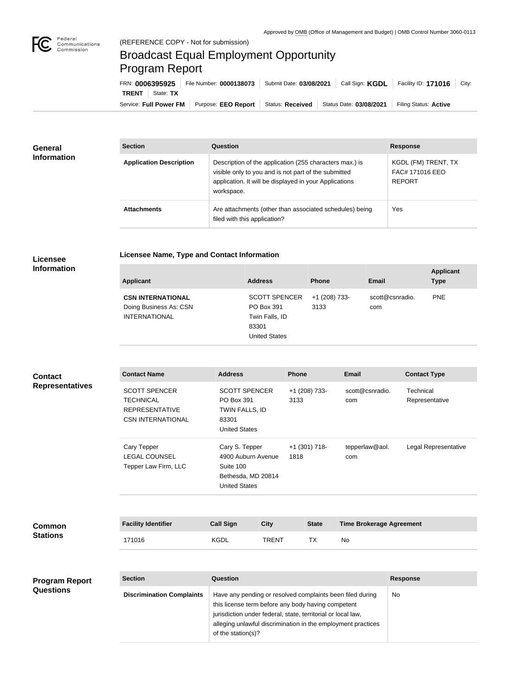

## Broadcast Equal Employment Opportunity Program Report

**Licensee Name, Type and Contact Information**

| FRN: 0006395925           | File Number: 0000138073 | Submit Date: 03/08/2021 | Call Sign: KGDL         | Facility ID: 171016<br>City: |
|---------------------------|-------------------------|-------------------------|-------------------------|------------------------------|
| <b>TRENT</b><br>State: TX |                         |                         |                         |                              |
| Service: Full Power FM    | Purpose: EEO Report     | <b>Status: Received</b> | Status Date: 03/08/2021 | Filing Status: Active        |

| General            | <b>Section</b>                 | Question                                                                                                                                                                                | <b>Response</b>                                         |
|--------------------|--------------------------------|-----------------------------------------------------------------------------------------------------------------------------------------------------------------------------------------|---------------------------------------------------------|
| <b>Information</b> | <b>Application Description</b> | Description of the application (255 characters max.) is<br>visible only to you and is not part of the submitted<br>application. It will be displayed in your Applications<br>workspace. | KGDL (FM) TRENT, TX<br>FAC# 171016 EEO<br><b>REPORT</b> |
|                    | <b>Attachments</b>             | Are attachments (other than associated schedules) being<br>filed with this application?                                                                                                 | Yes                                                     |

## **Licensee Information**

| <b>Applicant</b>                                                           | <b>Address</b>                                                                        | <b>Phone</b>          | Email                  | <b>Applicant</b><br><b>Type</b> |
|----------------------------------------------------------------------------|---------------------------------------------------------------------------------------|-----------------------|------------------------|---------------------------------|
| <b>CSN INTERNATIONAL</b><br>Doing Business As: CSN<br><b>INTERNATIONAL</b> | <b>SCOTT SPENCER</b><br>PO Box 391<br>Twin Falls, ID<br>83301<br><b>United States</b> | +1 (208) 733-<br>3133 | scott@csnradio.<br>com | <b>PNE</b>                      |

| <b>Contact</b>         | <b>Contact Name</b>                                                                           | <b>Address</b>                                                                                                                                                                                                                |              | <b>Phone</b>            |              | <b>Email</b>                    | <b>Contact Type</b>         |
|------------------------|-----------------------------------------------------------------------------------------------|-------------------------------------------------------------------------------------------------------------------------------------------------------------------------------------------------------------------------------|--------------|-------------------------|--------------|---------------------------------|-----------------------------|
| <b>Representatives</b> | <b>SCOTT SPENCER</b><br><b>TECHNICAL</b><br><b>REPRESENTATIVE</b><br><b>CSN INTERNATIONAL</b> | <b>SCOTT SPENCER</b><br>PO Box 391<br>TWIN FALLS, ID<br>83301<br><b>United States</b>                                                                                                                                         |              | +1 (208) 733-<br>3133   |              | scott@csnradio.<br>com          | Technical<br>Representative |
|                        | Cary Tepper<br><b>LEGAL COUNSEL</b><br>Tepper Law Firm, LLC                                   | Cary S. Tepper<br>4900 Auburn Avenue<br>Suite 100<br>Bethesda, MD 20814<br><b>United States</b>                                                                                                                               |              | $+1$ (301) 718-<br>1818 |              | tepperlaw@aol.<br>com           | Legal Representative        |
| <b>Common</b>          | <b>Facility Identifier</b>                                                                    | <b>Call Sign</b>                                                                                                                                                                                                              | <b>City</b>  |                         | <b>State</b> | <b>Time Brokerage Agreement</b> |                             |
| <b>Stations</b>        | 171016                                                                                        | <b>KGDL</b>                                                                                                                                                                                                                   | <b>TRENT</b> |                         | TX           | No                              |                             |
|                        |                                                                                               |                                                                                                                                                                                                                               |              |                         |              |                                 |                             |
| <b>Program Report</b>  | <b>Section</b>                                                                                | Question                                                                                                                                                                                                                      |              |                         |              |                                 | <b>Response</b>             |
| <b>Questions</b>       |                                                                                               | The company of the company of the company of the company of the company of the control of the company of the company of the company of the company of the company of the company of the company of the company of the company |              |                         |              |                                 | $\mathbf{A}$                |

| -------                          | -------                                                                                                                                                                                                                                         | ,,,,,,,,,,, |  |
|----------------------------------|-------------------------------------------------------------------------------------------------------------------------------------------------------------------------------------------------------------------------------------------------|-------------|--|
| <b>Discrimination Complaints</b> | Have any pending or resolved complaints been filed during<br>this license term before any body having competent<br>jurisdiction under federal, state, territorial or local law,<br>alleging unlawful discrimination in the employment practices | No          |  |
|                                  | of the station(s)?                                                                                                                                                                                                                              |             |  |